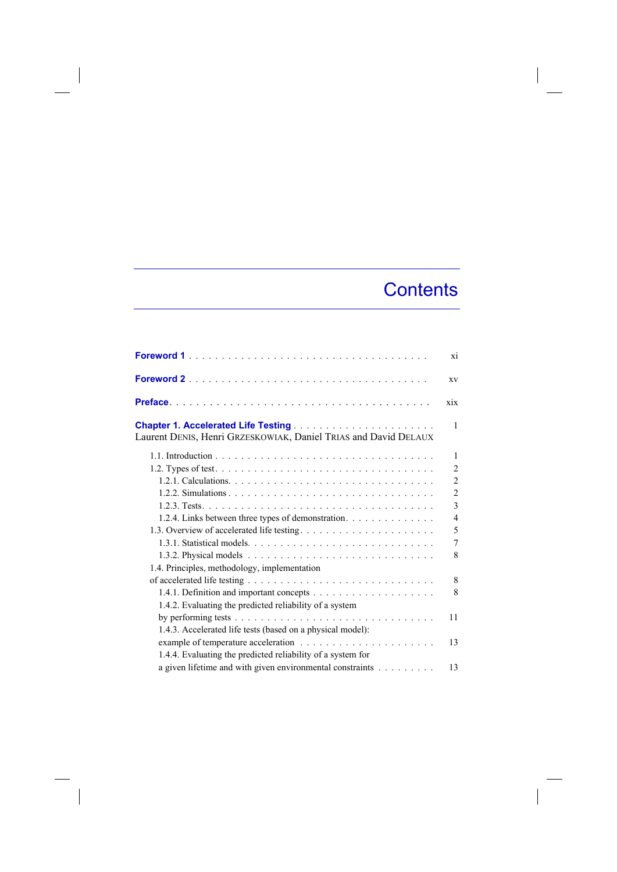## **Contents**

 $\overline{\phantom{a}}$ 

|                                                                                                     | X1             |
|-----------------------------------------------------------------------------------------------------|----------------|
|                                                                                                     | XV             |
|                                                                                                     | xix            |
|                                                                                                     | 1              |
| Laurent DENIS, Henri GRZESKOWIAK, Daniel TRIAS and David DELAUX                                     |                |
|                                                                                                     | 1              |
|                                                                                                     | $\overline{2}$ |
|                                                                                                     | $\overline{2}$ |
|                                                                                                     | $\overline{2}$ |
|                                                                                                     | 3              |
| 1.2.4. Links between three types of demonstration.                                                  | $\overline{4}$ |
|                                                                                                     | 5              |
|                                                                                                     | 7              |
|                                                                                                     | 8              |
| 1.4. Principles, methodology, implementation                                                        |                |
|                                                                                                     | 8              |
|                                                                                                     | 8              |
| 1.4.2. Evaluating the predicted reliability of a system                                             |                |
| by performing tests $\dots \dots \dots \dots \dots \dots \dots \dots \dots \dots \dots \dots \dots$ | 11             |
| 1.4.3. Accelerated life tests (based on a physical model):                                          |                |
|                                                                                                     | 13             |
| 1.4.4. Evaluating the predicted reliability of a system for                                         |                |
| a given lifetime and with given environmental constraints                                           | 13             |

 $\overline{\phantom{a}}$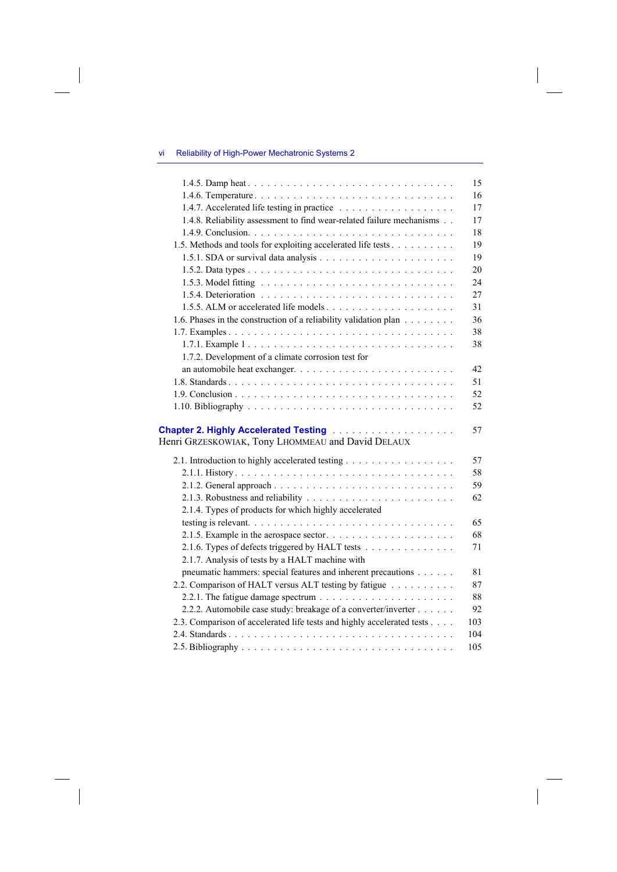## vi Reliability of High-Power Mechatronic Systems 2

| 1.4.5. Damp heat                                                                                                     | 15  |
|----------------------------------------------------------------------------------------------------------------------|-----|
|                                                                                                                      | 16  |
|                                                                                                                      | 17  |
| 1.4.8. Reliability assessment to find wear-related failure mechanisms                                                | 17  |
|                                                                                                                      | 18  |
| 1.5. Methods and tools for exploiting accelerated life tests                                                         | 19  |
|                                                                                                                      | 19  |
|                                                                                                                      | 20  |
|                                                                                                                      | 24  |
|                                                                                                                      | 27  |
|                                                                                                                      | 31  |
| 1.6. Phases in the construction of a reliability validation plan                                                     | 36  |
|                                                                                                                      | 38  |
|                                                                                                                      | 38  |
| 1.7.2. Development of a climate corrosion test for                                                                   |     |
|                                                                                                                      | 42  |
|                                                                                                                      | 51  |
|                                                                                                                      | 52  |
|                                                                                                                      | 52  |
|                                                                                                                      |     |
| <b>Chapter 2. Highly Accelerated Testing Acceleration Chapter 2. Highly Accelerated Testing Acceleration Chapter</b> | 57  |
| Henri GRZESKOWIAK, Tony LHOMMEAU and David DELAUX                                                                    |     |
| 2.1. Introduction to highly accelerated testing                                                                      | 57  |
|                                                                                                                      | 58  |
|                                                                                                                      | 59  |
|                                                                                                                      | 62  |
| 2.1.4. Types of products for which highly accelerated                                                                |     |
|                                                                                                                      | 65  |
|                                                                                                                      | 68  |
| 2.1.6. Types of defects triggered by HALT tests                                                                      | 71  |
| 2.1.7. Analysis of tests by a HALT machine with                                                                      |     |
| pneumatic hammers: special features and inherent precautions                                                         | 81  |
| 2.2. Comparison of HALT versus ALT testing by fatigue                                                                | 87  |
|                                                                                                                      | 88  |
| 2.2.2. Automobile case study: breakage of a converter/inverter                                                       | 92  |
| 2.3. Comparison of accelerated life tests and highly accelerated tests                                               | 103 |
|                                                                                                                      | 104 |
|                                                                                                                      | 105 |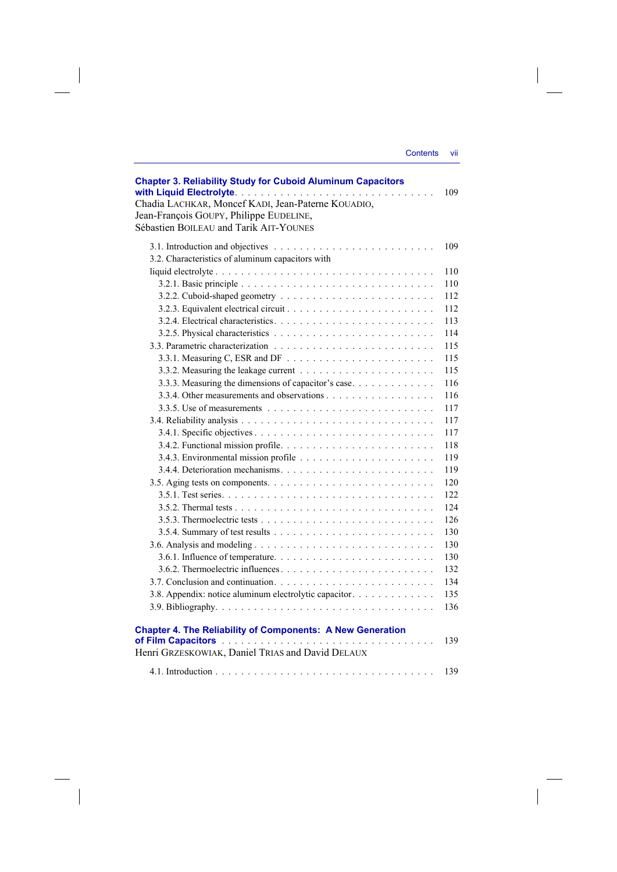|                 | VII |
|-----------------|-----|
| <b>Contents</b> |     |
|                 |     |

| Jean-François GOUPY, Philippe EUDELINE,<br>Sébastien BOILEAU and Tarik AIT-YOUNES |     |
|-----------------------------------------------------------------------------------|-----|
|                                                                                   | 109 |
| 3.2. Characteristics of aluminum capacitors with                                  |     |
|                                                                                   | 110 |
|                                                                                   | 110 |
|                                                                                   | 112 |
|                                                                                   | 112 |
|                                                                                   | 113 |
|                                                                                   | 114 |
|                                                                                   | 115 |
|                                                                                   | 115 |
|                                                                                   | 115 |
| 3.3.3. Measuring the dimensions of capacitor's case                               | 116 |
|                                                                                   | 116 |
|                                                                                   | 117 |
|                                                                                   | 117 |
|                                                                                   | 117 |
|                                                                                   | 118 |
|                                                                                   | 119 |
|                                                                                   | 119 |
|                                                                                   | 120 |
|                                                                                   | 122 |
|                                                                                   | 124 |
|                                                                                   | 126 |
|                                                                                   | 130 |
|                                                                                   | 130 |
|                                                                                   | 130 |
|                                                                                   | 132 |
|                                                                                   | 134 |
| 3.8. Appendix: notice aluminum electrolytic capacitor.                            | 135 |
|                                                                                   | 136 |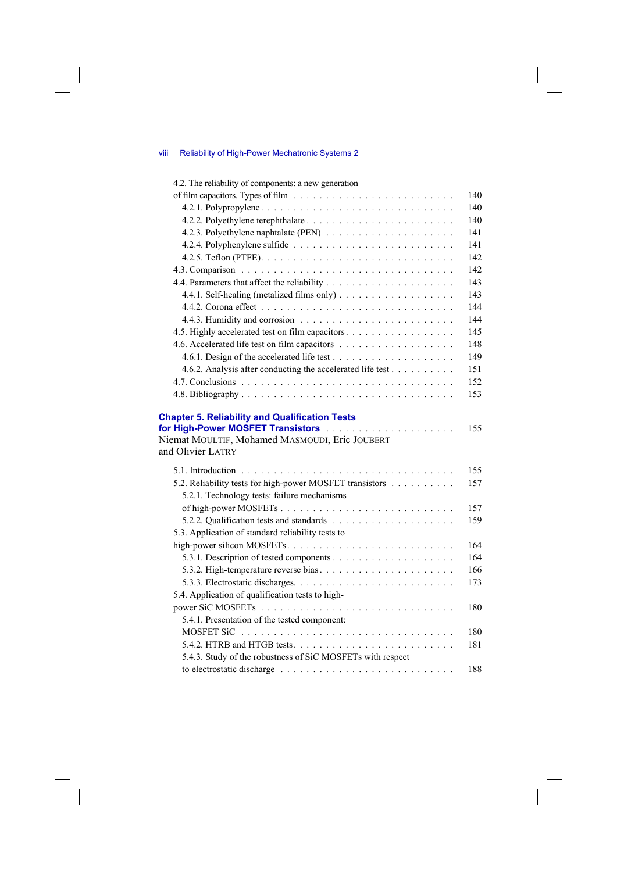## viii Reliability of High-Power Mechatronic Systems 2

 $\overline{\phantom{a}}$ 

| 4.2. The reliability of components: a new generation                |     |
|---------------------------------------------------------------------|-----|
|                                                                     | 140 |
|                                                                     | 140 |
|                                                                     | 140 |
|                                                                     | 141 |
|                                                                     | 141 |
|                                                                     | 142 |
|                                                                     | 142 |
|                                                                     | 143 |
|                                                                     | 143 |
|                                                                     | 144 |
|                                                                     | 144 |
| 4.5. Highly accelerated test on film capacitors.                    | 145 |
|                                                                     | 148 |
|                                                                     | 149 |
| 4.6.2. Analysis after conducting the accelerated life test          | 151 |
|                                                                     | 152 |
|                                                                     | 153 |
| Niemat MOULTIF, Mohamed MASMOUDI, Eric JOUBERT<br>and Olivier LATRY |     |
|                                                                     | 155 |
| 5.2. Reliability tests for high-power MOSFET transistors            | 157 |
| 5.2.1. Technology tests: failure mechanisms                         |     |
|                                                                     | 157 |
|                                                                     | 159 |
| 5.3. Application of standard reliability tests to                   |     |
|                                                                     | 164 |
|                                                                     | 164 |
|                                                                     | 166 |
|                                                                     | 173 |
| 5.4. Application of qualification tests to high-                    |     |
|                                                                     | 180 |
| 5.4.1. Presentation of the tested component:                        |     |
| MOSFET SiC                                                          | 180 |
|                                                                     | 181 |
| 5.4.3. Study of the robustness of SiC MOSFETs with respect          |     |
|                                                                     | 188 |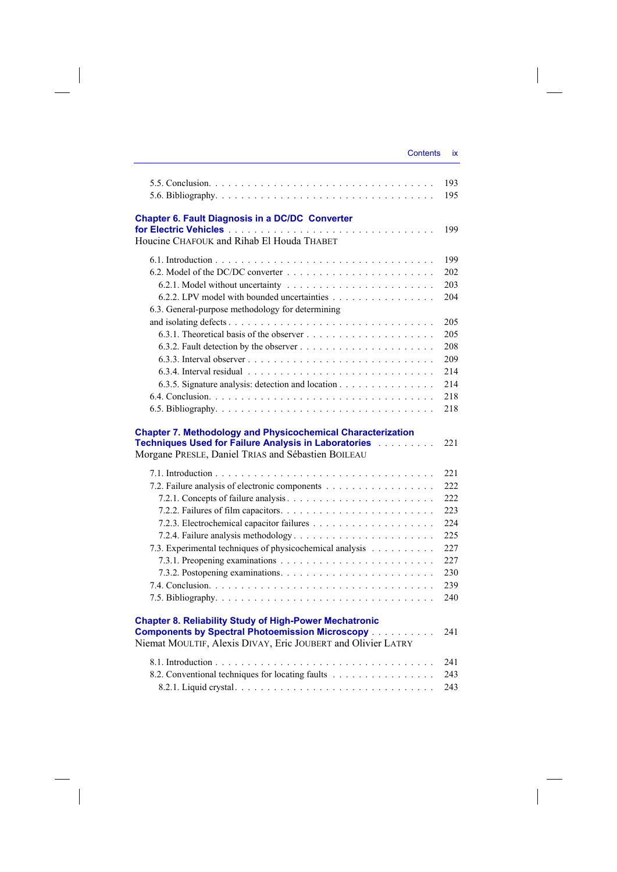| Contents | IX |
|----------|----|
|          |    |

 $\overline{\phantom{a}}$ 

|                                                                                                                                                                                                                                                                                                                                                                                      | 193<br>195 |
|--------------------------------------------------------------------------------------------------------------------------------------------------------------------------------------------------------------------------------------------------------------------------------------------------------------------------------------------------------------------------------------|------------|
| <b>Chapter 6. Fault Diagnosis in a DC/DC Converter</b><br>Houcine CHAFOUK and Rihab El Houda THABET                                                                                                                                                                                                                                                                                  | 199        |
|                                                                                                                                                                                                                                                                                                                                                                                      |            |
|                                                                                                                                                                                                                                                                                                                                                                                      | 199        |
|                                                                                                                                                                                                                                                                                                                                                                                      | 202        |
|                                                                                                                                                                                                                                                                                                                                                                                      | 203        |
| 6.2.2. LPV model with bounded uncertainties                                                                                                                                                                                                                                                                                                                                          | 204        |
| 6.3. General-purpose methodology for determining                                                                                                                                                                                                                                                                                                                                     |            |
|                                                                                                                                                                                                                                                                                                                                                                                      | 205        |
|                                                                                                                                                                                                                                                                                                                                                                                      | 205        |
|                                                                                                                                                                                                                                                                                                                                                                                      | 208        |
|                                                                                                                                                                                                                                                                                                                                                                                      | 209        |
|                                                                                                                                                                                                                                                                                                                                                                                      | 2.14       |
| 6.3.5. Signature analysis: detection and location                                                                                                                                                                                                                                                                                                                                    | 2.14       |
|                                                                                                                                                                                                                                                                                                                                                                                      | 218        |
|                                                                                                                                                                                                                                                                                                                                                                                      | 218        |
|                                                                                                                                                                                                                                                                                                                                                                                      |            |
| <b>Chapter 7. Methodology and Physicochemical Characterization</b><br>Techniques Used for Failure Analysis in Laboratories [11] Thechniques Used for Failure Analysis in Laboratories                                                                                                                                                                                                | 221        |
| Morgane PRESLE, Daniel TRIAS and Sébastien BOILEAU                                                                                                                                                                                                                                                                                                                                   |            |
| $\overline{a}$ $\overline{b}$ $\overline{c}$ $\overline{c}$ $\overline{d}$ $\overline{c}$ $\overline{c}$ $\overline{d}$ $\overline{c}$ $\overline{c}$ $\overline{c}$ $\overline{c}$ $\overline{c}$ $\overline{c}$ $\overline{c}$ $\overline{c}$ $\overline{c}$ $\overline{c}$ $\overline{c}$ $\overline{c}$ $\overline{c}$ $\overline{c}$ $\overline{c}$ $\overline{c}$ $\overline{$ | $\sim$     |

 $\begin{array}{c} \hline \end{array}$ 

|                                                                                                                                                                                                                     | 22.1 |
|---------------------------------------------------------------------------------------------------------------------------------------------------------------------------------------------------------------------|------|
| 7.2. Failure analysis of electronic components                                                                                                                                                                      | 222  |
|                                                                                                                                                                                                                     | 222  |
|                                                                                                                                                                                                                     | 223  |
|                                                                                                                                                                                                                     | 224  |
|                                                                                                                                                                                                                     | 225  |
| 7.3. Experimental techniques of physicochemical analysis                                                                                                                                                            | 227  |
|                                                                                                                                                                                                                     | 227  |
|                                                                                                                                                                                                                     | 230  |
|                                                                                                                                                                                                                     | 239  |
|                                                                                                                                                                                                                     | 240  |
| <b>Chapter 8. Reliability Study of High-Power Mechatronic</b><br><b>Components by Spectral Photoemission Microscopy [1] Allen Lines and Schools</b><br>Niemat MOULTIF, Alexis DIVAY, Eric JOUBERT and Olivier LATRY | 241  |
|                                                                                                                                                                                                                     |      |

| 8.2. Conventional techniques for locating faults 243 |  |
|------------------------------------------------------|--|
|                                                      |  |